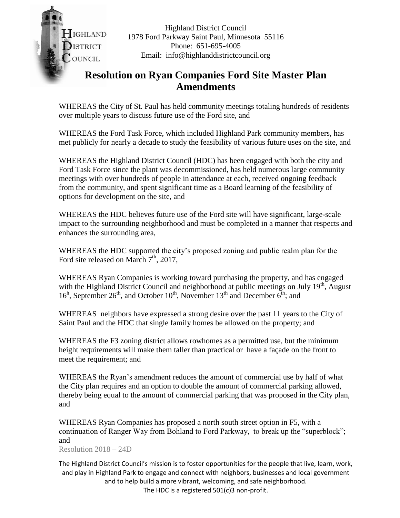IGHLAND **ISTRICT** COUNCIL

Highland District Council 1978 Ford Parkway Saint Paul, Minnesota 55116 Phone: 651-695-4005 Email: info@highlanddistrictcouncil.org

## **Resolution on Ryan Companies Ford Site Master Plan Amendments**

WHEREAS the City of St. Paul has held community meetings totaling hundreds of residents over multiple years to discuss future use of the Ford site, and

WHEREAS the Ford Task Force, which included Highland Park community members, has met publicly for nearly a decade to study the feasibility of various future uses on the site, and

WHEREAS the Highland District Council (HDC) has been engaged with both the city and Ford Task Force since the plant was decommissioned, has held numerous large community meetings with over hundreds of people in attendance at each, received ongoing feedback from the community, and spent significant time as a Board learning of the feasibility of options for development on the site, and

WHEREAS the HDC believes future use of the Ford site will have significant, large-scale impact to the surrounding neighborhood and must be completed in a manner that respects and enhances the surrounding area,

WHEREAS the HDC supported the city's proposed zoning and public realm plan for the Ford site released on March  $7<sup>th</sup>$ , 2017,

WHEREAS Ryan Companies is working toward purchasing the property, and has engaged with the Highland District Council and neighborhood at public meetings on July  $19<sup>th</sup>$ , August  $16<sup>h</sup>$ , September  $26<sup>th</sup>$ , and October  $10<sup>th</sup>$ , November  $13<sup>th</sup>$  and December  $6<sup>th</sup>$ ; and

WHEREAS neighbors have expressed a strong desire over the past 11 years to the City of Saint Paul and the HDC that single family homes be allowed on the property; and

WHEREAS the F3 zoning district allows rowhomes as a permitted use, but the minimum height requirements will make them taller than practical or have a façade on the front to meet the requirement; and

WHEREAS the Ryan's amendment reduces the amount of commercial use by half of what the City plan requires and an option to double the amount of commercial parking allowed, thereby being equal to the amount of commercial parking that was proposed in the City plan, and

WHEREAS Ryan Companies has proposed a north south street option in F5, with a continuation of Ranger Way from Bohland to Ford Parkway, to break up the "superblock"; and

Resolution 2018 – 24D

The Highland District Council's mission is to foster opportunities for the people that live, learn, work, and play in Highland Park to engage and connect with neighbors, businesses and local government and to help build a more vibrant, welcoming, and safe neighborhood.

The HDC is a registered 501(c)3 non-profit.